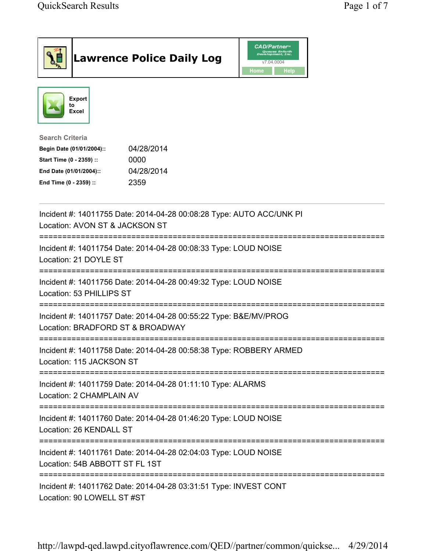| <b>Lawrence Police Daily Log</b>                                                                                                                                                 | <b>CAD/Partner</b> "<br>Queues Enforth<br>Development, Inc.<br>v7.04.0004<br>Home<br><b>Help</b> |
|----------------------------------------------------------------------------------------------------------------------------------------------------------------------------------|--------------------------------------------------------------------------------------------------|
| Export<br>to<br>Excel                                                                                                                                                            |                                                                                                  |
| <b>Search Criteria</b><br>04/28/2014<br>Begin Date (01/01/2004)::<br>Start Time (0 - 2359) ::<br>0000<br>04/28/2014<br>End Date (01/01/2004)::<br>2359<br>End Time (0 - 2359) :: |                                                                                                  |
| Incident #: 14011755 Date: 2014-04-28 00:08:28 Type: AUTO ACC/UNK PI<br>Location: AVON ST & JACKSON ST                                                                           |                                                                                                  |
| Incident #: 14011754 Date: 2014-04-28 00:08:33 Type: LOUD NOISE<br>Location: 21 DOYLE ST                                                                                         |                                                                                                  |
| Incident #: 14011756 Date: 2014-04-28 00:49:32 Type: LOUD NOISE<br>Location: 53 PHILLIPS ST                                                                                      |                                                                                                  |
| Incident #: 14011757 Date: 2014-04-28 00:55:22 Type: B&E/MV/PROG<br>Location: BRADFORD ST & BROADWAY                                                                             |                                                                                                  |
| Incident #: 14011758 Date: 2014-04-28 00:58:38 Type: ROBBERY ARMED<br>Location: 115 JACKSON ST                                                                                   |                                                                                                  |
| Incident #: 14011759 Date: 2014-04-28 01:11:10 Type: ALARMS<br>Location: 2 CHAMPLAIN AV                                                                                          |                                                                                                  |
| Incident #: 14011760 Date: 2014-04-28 01:46:20 Type: LOUD NOISE<br>Location: 26 KENDALL ST                                                                                       |                                                                                                  |
| Incident #: 14011761 Date: 2014-04-28 02:04:03 Type: LOUD NOISE<br>Location: 54B ABBOTT ST FL 1ST                                                                                |                                                                                                  |
| Incident #: 14011762 Date: 2014-04-28 03:31:51 Type: INVEST CONT<br>Location: 90 LOWELL ST #ST                                                                                   |                                                                                                  |

http://lawpd-qed.lawpd.cityoflawrence.com/QED//partner/common/quickse... 4/29/2014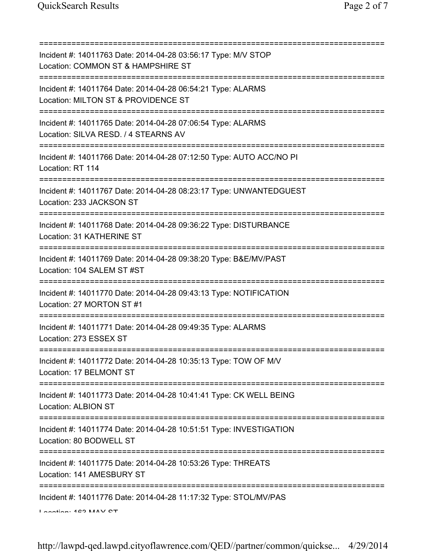=========================================================================== Incident #: 14011763 Date: 2014-04-28 03:56:17 Type: M/V STOP Location: COMMON ST & HAMPSHIRE ST =========================================================================== Incident #: 14011764 Date: 2014-04-28 06:54:21 Type: ALARMS Location: MILTON ST & PROVIDENCE ST =========================================================================== Incident #: 14011765 Date: 2014-04-28 07:06:54 Type: ALARMS Location: SILVA RESD. / 4 STEARNS AV =========================================================================== Incident #: 14011766 Date: 2014-04-28 07:12:50 Type: AUTO ACC/NO PI Location: RT 114 =========================================================================== Incident #: 14011767 Date: 2014-04-28 08:23:17 Type: UNWANTEDGUEST Location: 233 JACKSON ST =========================================================================== Incident #: 14011768 Date: 2014-04-28 09:36:22 Type: DISTURBANCE Location: 31 KATHERINE ST =========================================================================== Incident #: 14011769 Date: 2014-04-28 09:38:20 Type: B&E/MV/PAST Location: 104 SALEM ST #ST =========================================================================== Incident #: 14011770 Date: 2014-04-28 09:43:13 Type: NOTIFICATION Location: 27 MORTON ST #1 =========================================================================== Incident #: 14011771 Date: 2014-04-28 09:49:35 Type: ALARMS Location: 273 ESSEX ST =========================================================================== Incident #: 14011772 Date: 2014-04-28 10:35:13 Type: TOW OF M/V Location: 17 BELMONT ST =========================================================================== Incident #: 14011773 Date: 2014-04-28 10:41:41 Type: CK WELL BEING Location: ALBION ST =========================================================================== Incident #: 14011774 Date: 2014-04-28 10:51:51 Type: INVESTIGATION Location: 80 BODWELL ST =========================================================================== Incident #: 14011775 Date: 2014-04-28 10:53:26 Type: THREATS Location: 141 AMESBURY ST =========================================================================== Incident #: 14011776 Date: 2014-04-28 11:17:32 Type: STOL/MV/PAS Location: 162 MAY CT

http://lawpd-qed.lawpd.cityoflawrence.com/QED//partner/common/quickse... 4/29/2014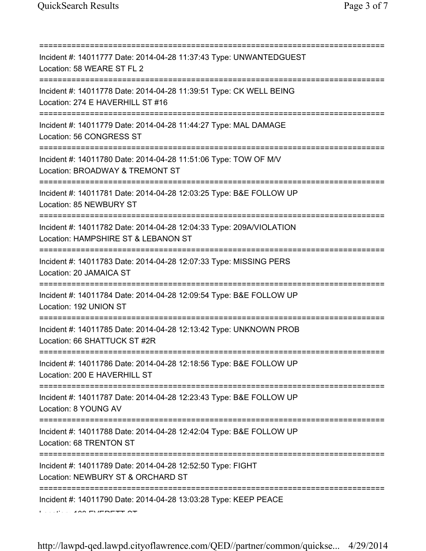| Incident #: 14011777 Date: 2014-04-28 11:37:43 Type: UNWANTEDGUEST<br>Location: 58 WEARE ST FL 2                                     |
|--------------------------------------------------------------------------------------------------------------------------------------|
| Incident #: 14011778 Date: 2014-04-28 11:39:51 Type: CK WELL BEING<br>Location: 274 E HAVERHILL ST #16<br>========================== |
| Incident #: 14011779 Date: 2014-04-28 11:44:27 Type: MAL DAMAGE<br>Location: 56 CONGRESS ST<br>===================================== |
| Incident #: 14011780 Date: 2014-04-28 11:51:06 Type: TOW OF M/V<br>Location: BROADWAY & TREMONT ST                                   |
| Incident #: 14011781 Date: 2014-04-28 12:03:25 Type: B&E FOLLOW UP<br>Location: 85 NEWBURY ST                                        |
| Incident #: 14011782 Date: 2014-04-28 12:04:33 Type: 209A/VIOLATION<br>Location: HAMPSHIRE ST & LEBANON ST                           |
| Incident #: 14011783 Date: 2014-04-28 12:07:33 Type: MISSING PERS<br>Location: 20 JAMAICA ST                                         |
| Incident #: 14011784 Date: 2014-04-28 12:09:54 Type: B&E FOLLOW UP<br>Location: 192 UNION ST                                         |
| Incident #: 14011785 Date: 2014-04-28 12:13:42 Type: UNKNOWN PROB<br>Location: 66 SHATTUCK ST #2R                                    |
| Incident #: 14011786 Date: 2014-04-28 12:18:56 Type: B&E FOLLOW UP<br>Location: 200 E HAVERHILL ST                                   |
| Incident #: 14011787 Date: 2014-04-28 12:23:43 Type: B&E FOLLOW UP<br>Location: 8 YOUNG AV                                           |
| Incident #: 14011788 Date: 2014-04-28 12:42:04 Type: B&E FOLLOW UP<br>Location: 68 TRENTON ST                                        |
| Incident #: 14011789 Date: 2014-04-28 12:52:50 Type: FIGHT<br>Location: NEWBURY ST & ORCHARD ST                                      |
| Incident #: 14011790 Date: 2014-04-28 13:03:28 Type: KEEP PEACE                                                                      |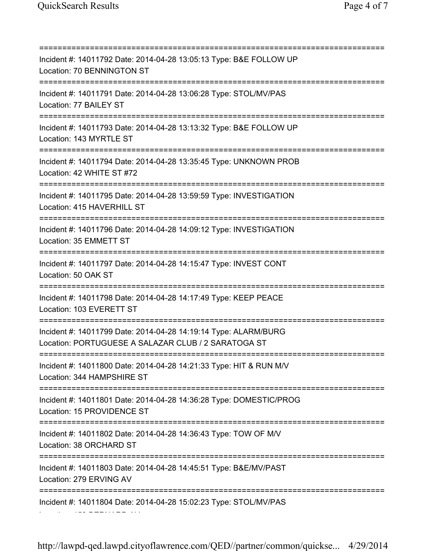=========================================================================== Incident #: 14011792 Date: 2014-04-28 13:05:13 Type: B&E FOLLOW UP Location: 70 BENNINGTON ST =========================================================================== Incident #: 14011791 Date: 2014-04-28 13:06:28 Type: STOL/MV/PAS Location: 77 BAILEY ST =========================================================================== Incident #: 14011793 Date: 2014-04-28 13:13:32 Type: B&E FOLLOW UP Location: 143 MYRTLE ST =========================================================================== Incident #: 14011794 Date: 2014-04-28 13:35:45 Type: UNKNOWN PROB Location: 42 WHITE ST #72 =========================================================================== Incident #: 14011795 Date: 2014-04-28 13:59:59 Type: INVESTIGATION Location: 415 HAVERHILL ST =========================================================================== Incident #: 14011796 Date: 2014-04-28 14:09:12 Type: INVESTIGATION Location: 35 EMMETT ST =========================================================================== Incident #: 14011797 Date: 2014-04-28 14:15:47 Type: INVEST CONT Location: 50 OAK ST =========================================================================== Incident #: 14011798 Date: 2014-04-28 14:17:49 Type: KEEP PEACE Location: 103 EVERETT ST =========================================================================== Incident #: 14011799 Date: 2014-04-28 14:19:14 Type: ALARM/BURG Location: PORTUGUESE A SALAZAR CLUB / 2 SARATOGA ST =========================================================================== Incident #: 14011800 Date: 2014-04-28 14:21:33 Type: HIT & RUN M/V Location: 344 HAMPSHIRE ST =========================================================================== Incident #: 14011801 Date: 2014-04-28 14:36:28 Type: DOMESTIC/PROG Location: 15 PROVIDENCE ST =========================================================================== Incident #: 14011802 Date: 2014-04-28 14:36:43 Type: TOW OF M/V Location: 38 ORCHARD ST =========================================================================== Incident #: 14011803 Date: 2014-04-28 14:45:51 Type: B&E/MV/PAST Location: 279 ERVING AV =========================================================================== Incident #: 14011804 Date: 2014-04-28 15:02:23 Type: STOL/MV/PAS Location: 159 BERNARD AV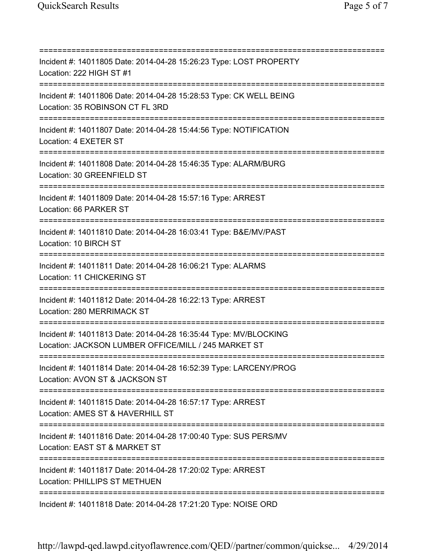=========================================================================== Incident #: 14011805 Date: 2014-04-28 15:26:23 Type: LOST PROPERTY Location: 222 HIGH ST #1 =========================================================================== Incident #: 14011806 Date: 2014-04-28 15:28:53 Type: CK WELL BEING Location: 35 ROBINSON CT FL 3RD =========================================================================== Incident #: 14011807 Date: 2014-04-28 15:44:56 Type: NOTIFICATION Location: 4 EXETER ST =========================================================================== Incident #: 14011808 Date: 2014-04-28 15:46:35 Type: ALARM/BURG Location: 30 GREENFIELD ST =========================================================================== Incident #: 14011809 Date: 2014-04-28 15:57:16 Type: ARREST Location: 66 PARKER ST =========================================================================== Incident #: 14011810 Date: 2014-04-28 16:03:41 Type: B&E/MV/PAST Location: 10 BIRCH ST =========================================================================== Incident #: 14011811 Date: 2014-04-28 16:06:21 Type: ALARMS Location: 11 CHICKERING ST =========================================================================== Incident #: 14011812 Date: 2014-04-28 16:22:13 Type: ARREST Location: 280 MERRIMACK ST =========================================================================== Incident #: 14011813 Date: 2014-04-28 16:35:44 Type: MV/BLOCKING Location: JACKSON LUMBER OFFICE/MILL / 245 MARKET ST =========================================================================== Incident #: 14011814 Date: 2014-04-28 16:52:39 Type: LARCENY/PROG Location: AVON ST & JACKSON ST =========================================================================== Incident #: 14011815 Date: 2014-04-28 16:57:17 Type: ARREST Location: AMES ST & HAVERHILL ST =========================================================================== Incident #: 14011816 Date: 2014-04-28 17:00:40 Type: SUS PERS/MV Location: EAST ST & MARKET ST =========================================================================== Incident #: 14011817 Date: 2014-04-28 17:20:02 Type: ARREST Location: PHILLIPS ST METHUEN =========================================================================== Incident #: 14011818 Date: 2014-04-28 17:21:20 Type: NOISE ORD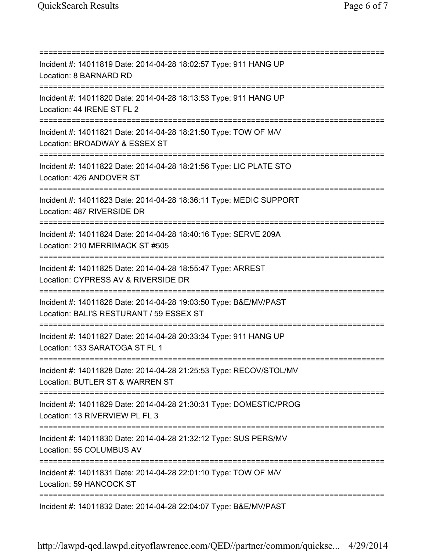=========================================================================== Incident #: 14011819 Date: 2014-04-28 18:02:57 Type: 911 HANG UP Location: 8 BARNARD RD =========================================================================== Incident #: 14011820 Date: 2014-04-28 18:13:53 Type: 911 HANG UP Location: 44 IRENE ST FL 2 =========================================================================== Incident #: 14011821 Date: 2014-04-28 18:21:50 Type: TOW OF M/V Location: BROADWAY & ESSEX ST =========================================================================== Incident #: 14011822 Date: 2014-04-28 18:21:56 Type: LIC PLATE STO Location: 426 ANDOVER ST =========================================================================== Incident #: 14011823 Date: 2014-04-28 18:36:11 Type: MEDIC SUPPORT Location: 487 RIVERSIDE DR =========================================================================== Incident #: 14011824 Date: 2014-04-28 18:40:16 Type: SERVE 209A Location: 210 MERRIMACK ST #505 =========================================================================== Incident #: 14011825 Date: 2014-04-28 18:55:47 Type: ARREST Location: CYPRESS AV & RIVERSIDE DR =========================================================================== Incident #: 14011826 Date: 2014-04-28 19:03:50 Type: B&E/MV/PAST Location: BALI'S RESTURANT / 59 ESSEX ST =========================================================================== Incident #: 14011827 Date: 2014-04-28 20:33:34 Type: 911 HANG UP Location: 133 SARATOGA ST FL 1 =========================================================================== Incident #: 14011828 Date: 2014-04-28 21:25:53 Type: RECOV/STOL/MV Location: BUTLER ST & WARREN ST =========================================================================== Incident #: 14011829 Date: 2014-04-28 21:30:31 Type: DOMESTIC/PROG Location: 13 RIVERVIEW PL FL 3 =========================================================================== Incident #: 14011830 Date: 2014-04-28 21:32:12 Type: SUS PERS/MV Location: 55 COLUMBUS AV =========================================================================== Incident #: 14011831 Date: 2014-04-28 22:01:10 Type: TOW OF M/V Location: 59 HANCOCK ST =========================================================================== Incident #: 14011832 Date: 2014-04-28 22:04:07 Type: B&E/MV/PAST

http://lawpd-qed.lawpd.cityoflawrence.com/QED//partner/common/quickse... 4/29/2014